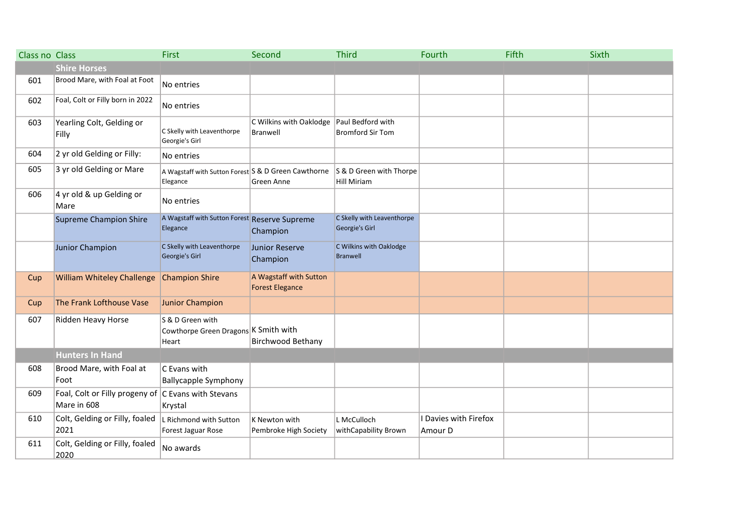| Class no Class |                                                                    | <b>First</b>                                                      | Second                                           | <b>Third</b>                                  | Fourth                           | Fifth | Sixth |
|----------------|--------------------------------------------------------------------|-------------------------------------------------------------------|--------------------------------------------------|-----------------------------------------------|----------------------------------|-------|-------|
|                | <b>Shire Horses</b>                                                |                                                                   |                                                  |                                               |                                  |       |       |
| 601            | Brood Mare, with Foal at Foot                                      | No entries                                                        |                                                  |                                               |                                  |       |       |
| 602            | Foal, Colt or Filly born in 2022                                   | No entries                                                        |                                                  |                                               |                                  |       |       |
| 603            | Yearling Colt, Gelding or<br>Filly                                 | C Skelly with Leaventhorpe<br>Georgie's Girl                      | C Wilkins with Oaklodge<br>Branwell              | Paul Bedford with<br><b>Bromford Sir Tom</b>  |                                  |       |       |
| 604            | 2 yr old Gelding or Filly:                                         | No entries                                                        |                                                  |                                               |                                  |       |       |
| 605            | 3 yr old Gelding or Mare                                           | A Wagstaff with Sutton Forest S & D Green Cawthorne<br>Elegance   | Green Anne                                       | S & D Green with Thorpe<br><b>Hill Miriam</b> |                                  |       |       |
| 606            | 4 yr old & up Gelding or<br>Mare                                   | No entries                                                        |                                                  |                                               |                                  |       |       |
|                | <b>Supreme Champion Shire</b>                                      | A Wagstaff with Sutton Forest Reserve Supreme<br>Elegance         | Champion                                         | C Skelly with Leaventhorpe<br>Georgie's Girl  |                                  |       |       |
|                | Junior Champion                                                    | C Skelly with Leaventhorpe<br>Georgie's Girl                      | Junior Reserve<br>Champion                       | C Wilkins with Oaklodge<br><b>Branwell</b>    |                                  |       |       |
| Cup            | <b>William Whiteley Challenge</b>                                  | <b>Champion Shire</b>                                             | A Wagstaff with Sutton<br><b>Forest Elegance</b> |                                               |                                  |       |       |
| Cup            | The Frank Lofthouse Vase                                           | <b>Junior Champion</b>                                            |                                                  |                                               |                                  |       |       |
| 607            | Ridden Heavy Horse                                                 | S & D Green with<br>Cowthorpe Green Dragons K Smith with<br>Heart | <b>Birchwood Bethany</b>                         |                                               |                                  |       |       |
|                | <b>Hunters In Hand</b>                                             |                                                                   |                                                  |                                               |                                  |       |       |
| 608            | Brood Mare, with Foal at<br>Foot                                   | C Evans with<br><b>Ballycapple Symphony</b>                       |                                                  |                                               |                                  |       |       |
| 609            | Foal, Colt or Filly progeny of C Evans with Stevans<br>Mare in 608 | Krystal                                                           |                                                  |                                               |                                  |       |       |
| 610            | Colt, Gelding or Filly, foaled<br>2021                             | L Richmond with Sutton<br>Forest Jaguar Rose                      | K Newton with<br>Pembroke High Society           | L McCulloch<br>withCapability Brown           | I Davies with Firefox<br>Amour D |       |       |
| 611            | Colt, Gelding or Filly, foaled<br>2020                             | No awards                                                         |                                                  |                                               |                                  |       |       |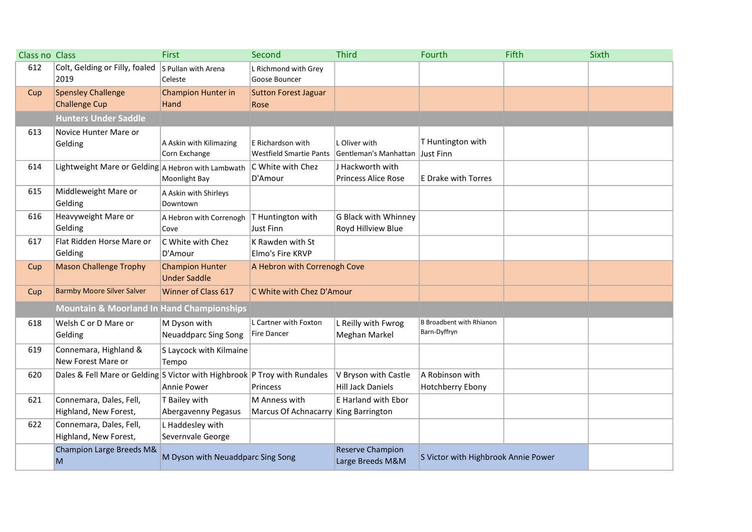| Class no Class |                                                                           | First                                         | Second                                                | <b>Third</b>                           | Fourth                                | Fifth | Sixth |
|----------------|---------------------------------------------------------------------------|-----------------------------------------------|-------------------------------------------------------|----------------------------------------|---------------------------------------|-------|-------|
| 612            | Colt, Gelding or Filly, foaled<br>2019                                    | S Pullan with Arena<br>Celeste                | L Richmond with Grey<br>Goose Bouncer                 |                                        |                                       |       |       |
| Cup            | <b>Spensley Challenge</b>                                                 | Champion Hunter in                            | <b>Sutton Forest Jaguar</b>                           |                                        |                                       |       |       |
|                | <b>Challenge Cup</b>                                                      | Hand                                          | Rose                                                  |                                        |                                       |       |       |
|                | <b>Hunters Under Saddle</b>                                               |                                               |                                                       |                                        |                                       |       |       |
| 613            | Novice Hunter Mare or                                                     |                                               |                                                       |                                        |                                       |       |       |
|                | Gelding                                                                   | A Askin with Kilimazing<br>Corn Exchange      | E Richardson with<br>Westfield Smartie Pants          | L Oliver with<br>Gentleman's Manhattan | T Huntington with<br><b>Just Finn</b> |       |       |
| 614            | Lightweight Mare or Gelding A Hebron with Lambwath                        |                                               | C White with Chez                                     | J Hackworth with                       |                                       |       |       |
|                |                                                                           | Moonlight Bay                                 | D'Amour                                               | <b>Princess Alice Rose</b>             | <b>E Drake with Torres</b>            |       |       |
| 615            | Middleweight Mare or<br>Gelding                                           | A Askin with Shirleys<br>Downtown             |                                                       |                                        |                                       |       |       |
| 616            | Heavyweight Mare or                                                       | A Hebron with Correnogh                       | T Huntington with                                     | G Black with Whinney                   |                                       |       |       |
|                | Gelding                                                                   | Cove                                          | <b>Just Finn</b>                                      | Royd Hillview Blue                     |                                       |       |       |
| 617            | Flat Ridden Horse Mare or                                                 | C White with Chez                             | K Rawden with St                                      |                                        |                                       |       |       |
|                | Gelding                                                                   | D'Amour                                       | Elmo's Fire KRVP                                      |                                        |                                       |       |       |
| Cup            | <b>Mason Challenge Trophy</b>                                             | <b>Champion Hunter</b><br><b>Under Saddle</b> | A Hebron with Correnogh Cove                          |                                        |                                       |       |       |
| Cup            | <b>Barmby Moore Silver Salver</b>                                         | <b>Winner of Class 617</b>                    | C White with Chez D'Amour                             |                                        |                                       |       |       |
|                | <b>Mountain &amp; Moorland In Hand Championships</b>                      |                                               |                                                       |                                        |                                       |       |       |
| 618            | Welsh C or D Mare or                                                      | M Dyson with                                  | L Cartner with Foxton                                 | L Reilly with Fwrog                    | <b>B</b> Broadbent with Rhianon       |       |       |
|                | Gelding                                                                   | <b>Neuaddparc Sing Song</b>                   | Fire Dancer                                           | Meghan Markel                          | Barn-Dyffryn                          |       |       |
| 619            | Connemara, Highland &                                                     | S Laycock with Kilmaine                       |                                                       |                                        |                                       |       |       |
|                | New Forest Mare or                                                        | Tempo                                         |                                                       |                                        |                                       |       |       |
| 620            | Dales & Fell Mare or Gelding S Victor with Highbrook P Troy with Rundales |                                               |                                                       | V Bryson with Castle                   | A Robinson with                       |       |       |
|                |                                                                           | Annie Power                                   | Princess                                              | <b>Hill Jack Daniels</b>               | Hotchberry Ebony                      |       |       |
| 621            | Connemara, Dales, Fell,<br>Highland, New Forest,                          | T Bailey with<br>Abergavenny Pegasus          | M Anness with<br>Marcus Of Achnacarry King Barrington | E Harland with Ebor                    |                                       |       |       |
| 622            | Connemara, Dales, Fell,                                                   | L Haddesley with                              |                                                       |                                        |                                       |       |       |
|                | Highland, New Forest,                                                     | Severnvale George                             |                                                       |                                        |                                       |       |       |
|                | Champion Large Breeds M&                                                  |                                               |                                                       | <b>Reserve Champion</b>                |                                       |       |       |
|                | $\overline{\mathsf{M}}$                                                   | M Dyson with Neuaddparc Sing Song             |                                                       | Large Breeds M&M                       | S Victor with Highbrook Annie Power   |       |       |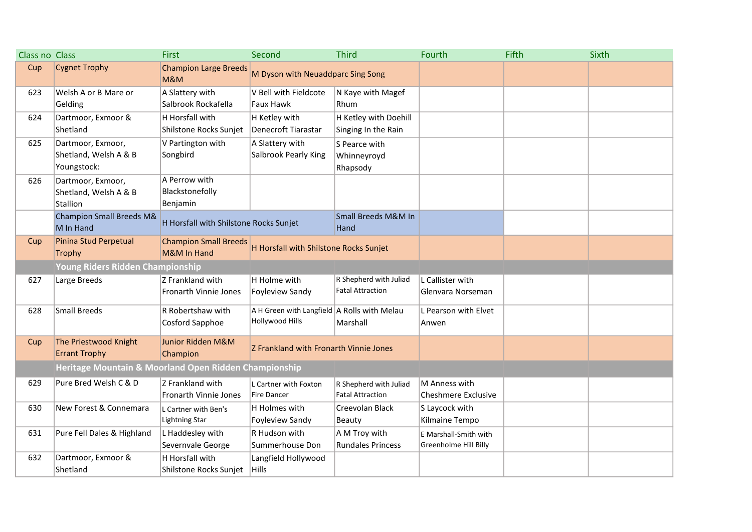| Class no Class |                                                       | <b>First</b>                             | Second                                      | <b>Third</b>             | Fourth                | Fifth | Sixth |
|----------------|-------------------------------------------------------|------------------------------------------|---------------------------------------------|--------------------------|-----------------------|-------|-------|
| Cup            | <b>Cygnet Trophy</b>                                  | <b>Champion Large Breeds</b><br>M&M      | M Dyson with Neuaddparc Sing Song           |                          |                       |       |       |
| 623            | Welsh A or B Mare or                                  | A Slattery with                          | V Bell with Fieldcote                       | N Kaye with Magef        |                       |       |       |
|                | Gelding                                               | Salbrook Rockafella                      | Faux Hawk                                   | Rhum                     |                       |       |       |
| 624            | Dartmoor, Exmoor &                                    | H Horsfall with                          | H Ketley with                               | H Ketley with Doehill    |                       |       |       |
|                | Shetland                                              | Shilstone Rocks Sunjet                   | Denecroft Tiarastar                         | Singing In the Rain      |                       |       |       |
| 625            | Dartmoor, Exmoor,                                     | V Partington with                        | A Slattery with                             | S Pearce with            |                       |       |       |
|                | Shetland, Welsh A & B                                 | Songbird                                 | <b>Salbrook Pearly King</b>                 | Whinneyroyd              |                       |       |       |
|                | Youngstock:                                           |                                          |                                             | Rhapsody                 |                       |       |       |
| 626            | Dartmoor, Exmoor,                                     | A Perrow with                            |                                             |                          |                       |       |       |
|                | Shetland, Welsh A & B                                 | Blackstonefolly                          |                                             |                          |                       |       |       |
|                | Stallion                                              | Benjamin                                 |                                             |                          |                       |       |       |
|                | <b>Champion Small Breeds M&amp;</b>                   | H Horsfall with Shilstone Rocks Sunjet   |                                             | Small Breeds M&M In      |                       |       |       |
|                | M In Hand                                             |                                          |                                             | Hand                     |                       |       |       |
| Cup            | Pinina Stud Perpetual                                 | <b>Champion Small Breeds</b>             | H Horsfall with Shilstone Rocks Sunjet      |                          |                       |       |       |
|                | <b>Trophy</b>                                         | M&M In Hand                              |                                             |                          |                       |       |       |
|                | Young Riders Ridden Championship                      |                                          |                                             |                          |                       |       |       |
| 627            | Large Breeds                                          | Z Frankland with                         | H Holme with                                | R Shepherd with Juliad   | L Callister with      |       |       |
|                |                                                       | Fronarth Vinnie Jones                    | Foyleview Sandy                             | <b>Fatal Attraction</b>  | Glenvara Norseman     |       |       |
| 628            | <b>Small Breeds</b>                                   | R Robertshaw with                        | A H Green with Langfield A Rolls with Melau |                          | L Pearson with Elvet  |       |       |
|                |                                                       | Cosford Sapphoe                          | Hollywood Hills                             | Marshall                 | Anwen                 |       |       |
|                | The Priestwood Knight                                 |                                          |                                             |                          |                       |       |       |
| Cup            | <b>Errant Trophy</b>                                  | <b>Junior Ridden M&amp;M</b><br>Champion | Z Frankland with Fronarth Vinnie Jones      |                          |                       |       |       |
|                |                                                       |                                          |                                             |                          |                       |       |       |
|                | Heritage Mountain & Moorland Open Ridden Championship |                                          |                                             |                          |                       |       |       |
| 629            | Pure Bred Welsh C & D                                 | Z Frankland with                         | L Cartner with Foxton                       | R Shepherd with Juliad   | M Anness with         |       |       |
|                |                                                       | <b>Fronarth Vinnie Jones</b>             | <b>Fire Dancer</b>                          | <b>Fatal Attraction</b>  | Cheshmere Exclusive   |       |       |
| 630            | New Forest & Connemara                                | L Cartner with Ben's                     | H Holmes with                               | Creevolan Black          | S Laycock with        |       |       |
|                |                                                       | <b>Lightning Star</b>                    | Foyleview Sandy                             | Beauty                   | Kilmaine Tempo        |       |       |
| 631            | Pure Fell Dales & Highland                            | L Haddesley with                         | R Hudson with                               | A M Troy with            | E Marshall-Smith with |       |       |
|                |                                                       | Severnvale George                        | Summerhouse Don                             | <b>Rundales Princess</b> | Greenholme Hill Billy |       |       |
| 632            | Dartmoor, Exmoor &                                    | H Horsfall with                          | Langfield Hollywood                         |                          |                       |       |       |
|                | Shetland                                              | Shilstone Rocks Sunjet                   | Hills                                       |                          |                       |       |       |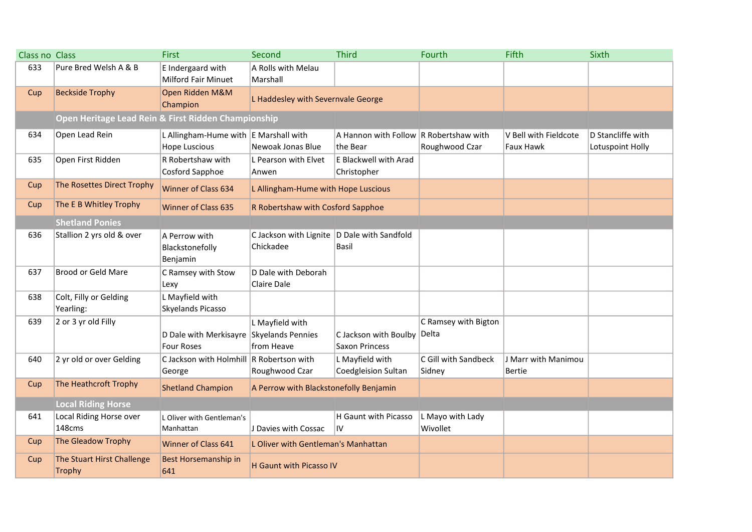| Class no Class |                                                     | <b>First</b>                                                     | Second                                                     | <b>Third</b>                                       | Fourth                         | Fifth                              | Sixth                                 |
|----------------|-----------------------------------------------------|------------------------------------------------------------------|------------------------------------------------------------|----------------------------------------------------|--------------------------------|------------------------------------|---------------------------------------|
| 633            | Pure Bred Welsh A & B                               | E Indergaard with<br><b>Milford Fair Minuet</b>                  | A Rolls with Melau<br>Marshall                             |                                                    |                                |                                    |                                       |
| Cup            | <b>Beckside Trophy</b>                              | Open Ridden M&M<br>Champion                                      | L Haddesley with Severnvale George                         |                                                    |                                |                                    |                                       |
|                | Open Heritage Lead Rein & First Ridden Championship |                                                                  |                                                            |                                                    |                                |                                    |                                       |
| 634            | Open Lead Rein                                      | L Allingham-Hume with $ E$ Marshall with<br><b>Hope Luscious</b> | Newoak Jonas Blue                                          | A Hannon with Follow R Robertshaw with<br>the Bear | Roughwood Czar                 | V Bell with Fieldcote<br>Faux Hawk | D Stancliffe with<br>Lotuspoint Holly |
| 635            | Open First Ridden                                   | R Robertshaw with<br>Cosford Sapphoe                             | L Pearson with Elvet<br>Anwen                              | <b>E Blackwell with Arad</b><br>Christopher        |                                |                                    |                                       |
| Cup            | The Rosettes Direct Trophy                          | <b>Winner of Class 634</b>                                       | L Allingham-Hume with Hope Luscious                        |                                                    |                                |                                    |                                       |
| Cup            | The E B Whitley Trophy                              | <b>Winner of Class 635</b>                                       | R Robertshaw with Cosford Sapphoe                          |                                                    |                                |                                    |                                       |
|                | <b>Shetland Ponies</b>                              |                                                                  |                                                            |                                                    |                                |                                    |                                       |
| 636            | Stallion 2 yrs old & over                           | A Perrow with<br>Blackstonefolly<br>Benjamin                     | C Jackson with Lignite   D Dale with Sandfold<br>Chickadee | <b>Basil</b>                                       |                                |                                    |                                       |
| 637            | <b>Brood or Geld Mare</b>                           | C Ramsey with Stow<br>Lexy                                       | D Dale with Deborah<br><b>Claire Dale</b>                  |                                                    |                                |                                    |                                       |
| 638            | Colt, Filly or Gelding<br>Yearling:                 | L Mayfield with<br>Skyelands Picasso                             |                                                            |                                                    |                                |                                    |                                       |
| 639            | 2 or 3 yr old Filly                                 | D Dale with Merkisayre<br><b>Four Roses</b>                      | L Mayfield with<br>Skyelands Pennies<br>from Heave         | C Jackson with Boulby<br><b>Saxon Princess</b>     | C Ramsey with Bigton<br>Delta  |                                    |                                       |
| 640            | 2 yr old or over Gelding                            | C Jackson with Holmhill R Robertson with<br>George               | Roughwood Czar                                             | L Mayfield with<br>Coedgleision Sultan             | C Gill with Sandbeck<br>Sidney | J Marr with Manimou<br>Bertie      |                                       |
| Cup            | The Heathcroft Trophy                               | <b>Shetland Champion</b>                                         | A Perrow with Blackstonefolly Benjamin                     |                                                    |                                |                                    |                                       |
|                | <b>Local Riding Horse</b>                           |                                                                  |                                                            |                                                    |                                |                                    |                                       |
| 641            | Local Riding Horse over<br>148cms                   | L Oliver with Gentleman's<br>Manhattan                           | J Davies with Cossac                                       | H Gaunt with Picasso<br>IV                         | L Mayo with Lady<br>Wivollet   |                                    |                                       |
| Cup            | The Gleadow Trophy                                  | <b>Winner of Class 641</b>                                       | L Oliver with Gentleman's Manhattan                        |                                                    |                                |                                    |                                       |
| Cup            | The Stuart Hirst Challenge<br><b>Trophy</b>         | Best Horsemanship in<br>641                                      | H Gaunt with Picasso IV                                    |                                                    |                                |                                    |                                       |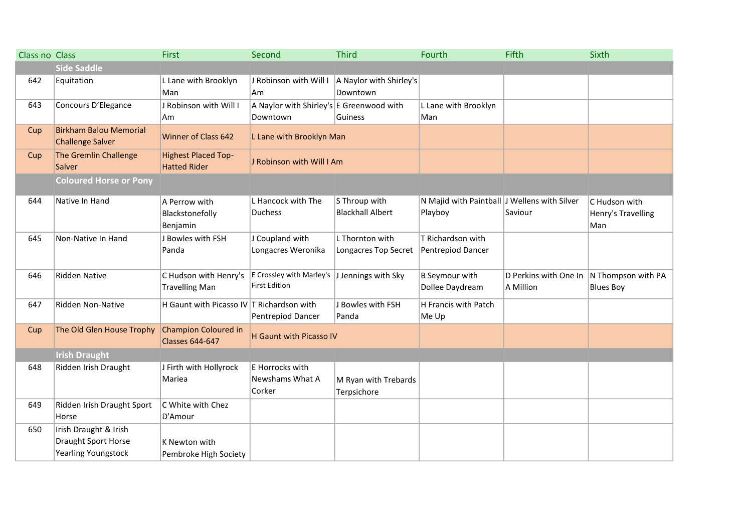| <b>Class no Class</b> |                                                                            | <b>First</b>                                          | Second                                                               | <b>Third</b>                             | Fourth                                                  | <b>Fifth</b>                       | Sixth                                      |
|-----------------------|----------------------------------------------------------------------------|-------------------------------------------------------|----------------------------------------------------------------------|------------------------------------------|---------------------------------------------------------|------------------------------------|--------------------------------------------|
|                       | <b>Side Saddle</b>                                                         |                                                       |                                                                      |                                          |                                                         |                                    |                                            |
| 642                   | Equitation                                                                 | L Lane with Brooklyn                                  | J Robinson with Will I                                               | A Naylor with Shirley's                  |                                                         |                                    |                                            |
|                       |                                                                            | Man                                                   | Am                                                                   | Downtown                                 |                                                         |                                    |                                            |
| 643                   | Concours D'Elegance                                                        | J Robinson with Will I                                | A Naylor with Shirley's E Greenwood with                             |                                          | L Lane with Brooklyn                                    |                                    |                                            |
|                       |                                                                            | Am                                                    | Downtown                                                             | Guiness                                  | Man                                                     |                                    |                                            |
| Cup                   | <b>Birkham Balou Memorial</b><br><b>Challenge Salver</b>                   | <b>Winner of Class 642</b>                            | L Lane with Brooklyn Man                                             |                                          |                                                         |                                    |                                            |
| Cup                   | The Gremlin Challenge<br>Salver                                            | <b>Highest Placed Top-</b><br><b>Hatted Rider</b>     | J Robinson with Will I Am                                            |                                          |                                                         |                                    |                                            |
|                       | <b>Coloured Horse or Pony</b>                                              |                                                       |                                                                      |                                          |                                                         |                                    |                                            |
| 644                   | Native In Hand                                                             | A Perrow with<br>Blackstonefolly<br>Benjamin          | L Hancock with The<br><b>Duchess</b>                                 | S Throup with<br><b>Blackhall Albert</b> | N Majid with Paintball J Wellens with Silver<br>Playboy | Saviour                            | C Hudson with<br>Henry's Travelling<br>Man |
| 645                   | Non-Native In Hand                                                         | J Bowles with FSH<br>Panda                            | J Coupland with<br>Longacres Weronika                                | L Thornton with<br>Longacres Top Secret  | T Richardson with<br>Pentrepiod Dancer                  |                                    |                                            |
| 646                   | <b>Ridden Native</b>                                                       | C Hudson with Henry's<br><b>Travelling Man</b>        | E Crossley with Marley's J Jennings with Sky<br><b>First Edition</b> |                                          | <b>B</b> Seymour with<br>Dollee Daydream                | D Perkins with One In<br>A Million | N Thompson with PA<br><b>Blues Boy</b>     |
| 647                   | Ridden Non-Native                                                          | H Gaunt with Picasso IV T Richardson with             | Pentrepiod Dancer                                                    | J Bowles with FSH<br>Panda               | H Francis with Patch<br>Me Up                           |                                    |                                            |
| Cup                   | The Old Glen House Trophy                                                  | <b>Champion Coloured in</b><br><b>Classes 644-647</b> | <b>H</b> Gaunt with Picasso IV                                       |                                          |                                                         |                                    |                                            |
|                       | <b>Irish Draught</b>                                                       |                                                       |                                                                      |                                          |                                                         |                                    |                                            |
| 648                   | Ridden Irish Draught                                                       | J Firth with Hollyrock<br>Mariea                      | E Horrocks with<br>Newshams What A<br>Corker                         | M Ryan with Trebards<br>Terpsichore      |                                                         |                                    |                                            |
| 649                   | Ridden Irish Draught Sport<br>Horse                                        | C White with Chez<br>D'Amour                          |                                                                      |                                          |                                                         |                                    |                                            |
| 650                   | Irish Draught & Irish<br>Draught Sport Horse<br><b>Yearling Youngstock</b> | K Newton with<br>Pembroke High Society                |                                                                      |                                          |                                                         |                                    |                                            |